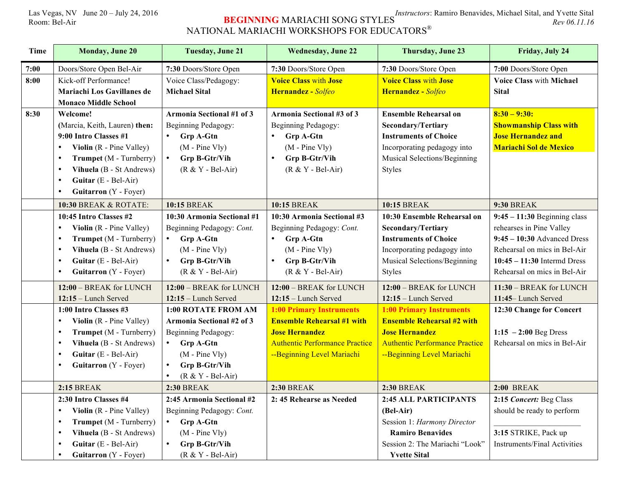## Las Vegas, NV June 20 – July 24, 2016 **Instructors**: Ramiro Benavides, Michael Sital, and Yvette Sital Room: Bel-Air Rev 06.11.16 NATIONAL MARIACHI WORKSHOPS FOR EDUCATORS $^\circ$

| Time | <b>Monday, June 20</b>                | <b>Tuesday, June 21</b>          | <b>Wednesday, June 22</b>             | Thursday, June 23                     | Friday, July 24                     |
|------|---------------------------------------|----------------------------------|---------------------------------------|---------------------------------------|-------------------------------------|
| 7:00 | Doors/Store Open Bel-Air              | 7:30 Doors/Store Open            | 7:30 Doors/Store Open                 | 7:30 Doors/Store Open                 | 7:00 Doors/Store Open               |
| 8:00 | Kick-off Performance!                 | Voice Class/Pedagogy:            | <b>Voice Class with Jose</b>          | <b>Voice Class with Jose</b>          | <b>Voice Class with Michael</b>     |
|      | Mariachi Los Gavillanes de            | <b>Michael Sital</b>             | Hernandez - Solfeo                    | Hernandez - Solfeo                    | <b>Sital</b>                        |
|      | <b>Monaco Middle School</b>           |                                  |                                       |                                       |                                     |
| 8:30 | Welcome!                              | <b>Armonia Sectional #1 of 3</b> | Armonia Sectional #3 of 3             | <b>Ensemble Rehearsal on</b>          | $8:30 - 9:30:$                      |
|      | (Marcia, Keith, Lauren) then:         | Beginning Pedagogy:              | Beginning Pedagogy:                   | <b>Secondary/Tertiary</b>             | <b>Showmanship Class with</b>       |
|      | 9:00 Intro Classes #1                 | $\bullet$<br><b>Grp A-Gtn</b>    | <b>Grp A-Gtn</b><br>$\bullet$         | <b>Instruments of Choice</b>          | <b>Jose Hernandez and</b>           |
|      | Violin (R - Pine Valley)              | $(M - Pine Vly)$                 | $(M - Pine Vly)$                      | Incorporating pedagogy into           | <b>Mariachi Sol de Mexico</b>       |
|      | Trumpet (M - Turnberry)<br>$\bullet$  | Grp B-Gtr/Vih<br>$\bullet$       | Grp B-Gtr/Vih<br>$\bullet$            | Musical Selections/Beginning          |                                     |
|      | Vihuela (B - St Andrews)<br>$\bullet$ | $(R & Y - Bel-Air)$              | $(R & Y - Bel-Air)$                   | <b>Styles</b>                         |                                     |
|      | Guitar (E - Bel-Air)<br>$\bullet$     |                                  |                                       |                                       |                                     |
|      | Guitarron (Y - Foyer)<br>$\bullet$    |                                  |                                       |                                       |                                     |
|      | <b>10:30 BREAK &amp; ROTATE:</b>      | <b>10:15 BREAK</b>               | <b>10:15 BREAK</b>                    | <b>10:15 BREAK</b>                    | <b>9:30 BREAK</b>                   |
|      | 10:45 Intro Classes #2                | 10:30 Armonia Sectional #1       | 10:30 Armonia Sectional #3            | 10:30 Ensemble Rehearsal on           | $9:45 - 11:30$ Beginning class      |
|      | Violin (R - Pine Valley)              | Beginning Pedagogy: Cont.        | Beginning Pedagogy: Cont.             | <b>Secondary/Tertiary</b>             | rehearses in Pine Valley            |
|      | Trumpet (M - Turnberry)<br>$\bullet$  | $\bullet$<br><b>Grp A-Gtn</b>    | $\bullet$<br>Grp A-Gtn                | <b>Instruments of Choice</b>          | $9:45 - 10:30$ Advanced Dress       |
|      | Vihuela (B - St Andrews)<br>$\bullet$ | $(M - Pine Vly)$                 | $(M - Pine Vly)$                      | Incorporating pedagogy into           | Rehearsal on mics in Bel-Air        |
|      | Guitar (E - Bel-Air)<br>$\bullet$     | Grp B-Gtr/Vih<br>$\bullet$       | Grp B-Gtr/Vih<br>$\bullet$            | Musical Selections/Beginning          | $10:45 - 11:30$ Intermd Dress       |
|      | Guitarron (Y - Foyer)<br>$\bullet$    | $(R & Y - Bel-Air)$              | $(R & Y - Bel-Air)$                   | <b>Styles</b>                         | Rehearsal on mics in Bel-Air        |
|      | 12:00 - BREAK for LUNCH               | 12:00 - BREAK for LUNCH          | 12:00 - BREAK for LUNCH               | 12:00 - BREAK for LUNCH               | 11:30 - BREAK for LUNCH             |
|      | $12:15$ – Lunch Served                | $12:15$ – Lunch Served           | $12:15$ – Lunch Served                | $12:15$ – Lunch Served                | 11:45-Lunch Served                  |
|      | 1:00 Intro Classes #3                 | 1:00 ROTATE FROM AM              | <b>1:00 Primary Instruments</b>       | <b>1:00 Primary Instruments</b>       | 12:30 Change for Concert            |
|      | Violin (R - Pine Valley)<br>$\bullet$ | Armonia Sectional #2 of 3        | <b>Ensemble Rehearsal #1 with</b>     | <b>Ensemble Rehearsal #2 with</b>     |                                     |
|      | Trumpet (M - Turnberry)<br>$\bullet$  | Beginning Pedagogy:              | <b>Jose Hernandez</b>                 | <b>Jose Hernandez</b>                 | $1:15 - 2:00$ Beg Dress             |
|      | Vihuela (B - St Andrews)<br>$\bullet$ | $\bullet$<br><b>Grp A-Gtn</b>    | <b>Authentic Performance Practice</b> | <b>Authentic Performance Practice</b> | Rehearsal on mics in Bel-Air        |
|      | Guitar (E - Bel-Air)<br>$\bullet$     | $(M - Pine Vly)$                 | --Beginning Level Mariachi            | -Beginning Level Mariachi             |                                     |
|      | Guitarron (Y - Foyer)<br>$\bullet$    | Grp B-Gtr/Vih<br>$\bullet$       |                                       |                                       |                                     |
|      |                                       | $(R & Y - Bel-Air)$              |                                       |                                       |                                     |
|      | <b>2:15 BREAK</b>                     | <b>2:30 BREAK</b>                | <b>2:30 BREAK</b>                     | <b>2:30 BREAK</b>                     | <b>2:00 BREAK</b>                   |
|      | 2:30 Intro Classes #4                 | 2:45 Armonia Sectional #2        | 2:45 Rehearse as Needed               | 2:45 ALL PARTICIPANTS                 | 2:15 Concert: Beg Class             |
|      | Violin (R - Pine Valley)<br>$\bullet$ | Beginning Pedagogy: Cont.        |                                       | (Bel-Air)                             | should be ready to perform          |
|      | Trumpet (M - Turnberry)<br>$\bullet$  | Grp A-Gtn<br>$\bullet$           |                                       | Session 1: Harmony Director           |                                     |
|      | Vihuela (B - St Andrews)<br>$\bullet$ | $(M - Pine Vly)$                 |                                       | <b>Ramiro Benavides</b>               | 3:15 STRIKE, Pack up                |
|      | Guitar (E - Bel-Air)<br>$\bullet$     | $\bullet$<br>Grp B-Gtr/Vih       |                                       | Session 2: The Mariachi "Look"        | <b>Instruments/Final Activities</b> |
|      | Guitarron (Y - Foyer)<br>$\bullet$    | $(R & Y - Bel-Air)$              |                                       | <b>Yvette Sital</b>                   |                                     |